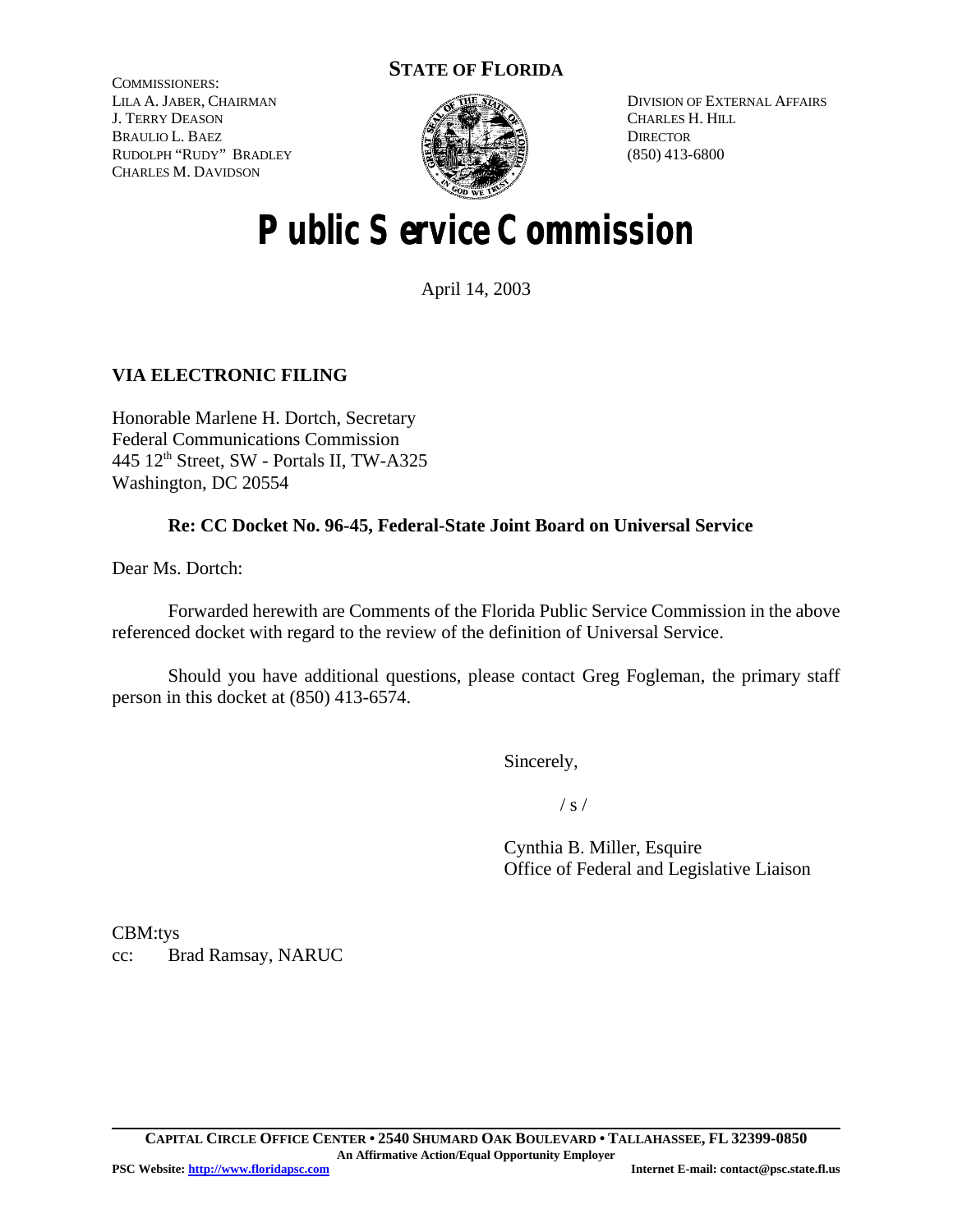# **STATE OF FLORIDA**

COMMISSIONERS: LILA A. JABER, CHAIRMAN J. TERRY DEASON BRAULIO L. BAEZ RUDOLPH "RUDY" BRADLEY CHARLES M. DAVIDSON



DIVISION OF EXTERNAL AFFAIRS CHARLES H. HILL **DIRECTOR** (850) 413-6800

# **Public Service Commission**

April 14, 2003

## **VIA ELECTRONIC FILING**

Honorable Marlene H. Dortch, Secretary Federal Communications Commission 445 12th Street, SW - Portals II, TW-A325 Washington, DC 20554

### **Re: CC Docket No. 96-45, Federal-State Joint Board on Universal Service**

Dear Ms. Dortch:

Forwarded herewith are Comments of the Florida Public Service Commission in the above referenced docket with regard to the review of the definition of Universal Service.

Should you have additional questions, please contact Greg Fogleman, the primary staff person in this docket at (850) 413-6574.

Sincerely,

 $/ s /$ 

Cynthia B. Miller, Esquire Office of Federal and Legislative Liaison

CBM:tys cc: Brad Ramsay, NARUC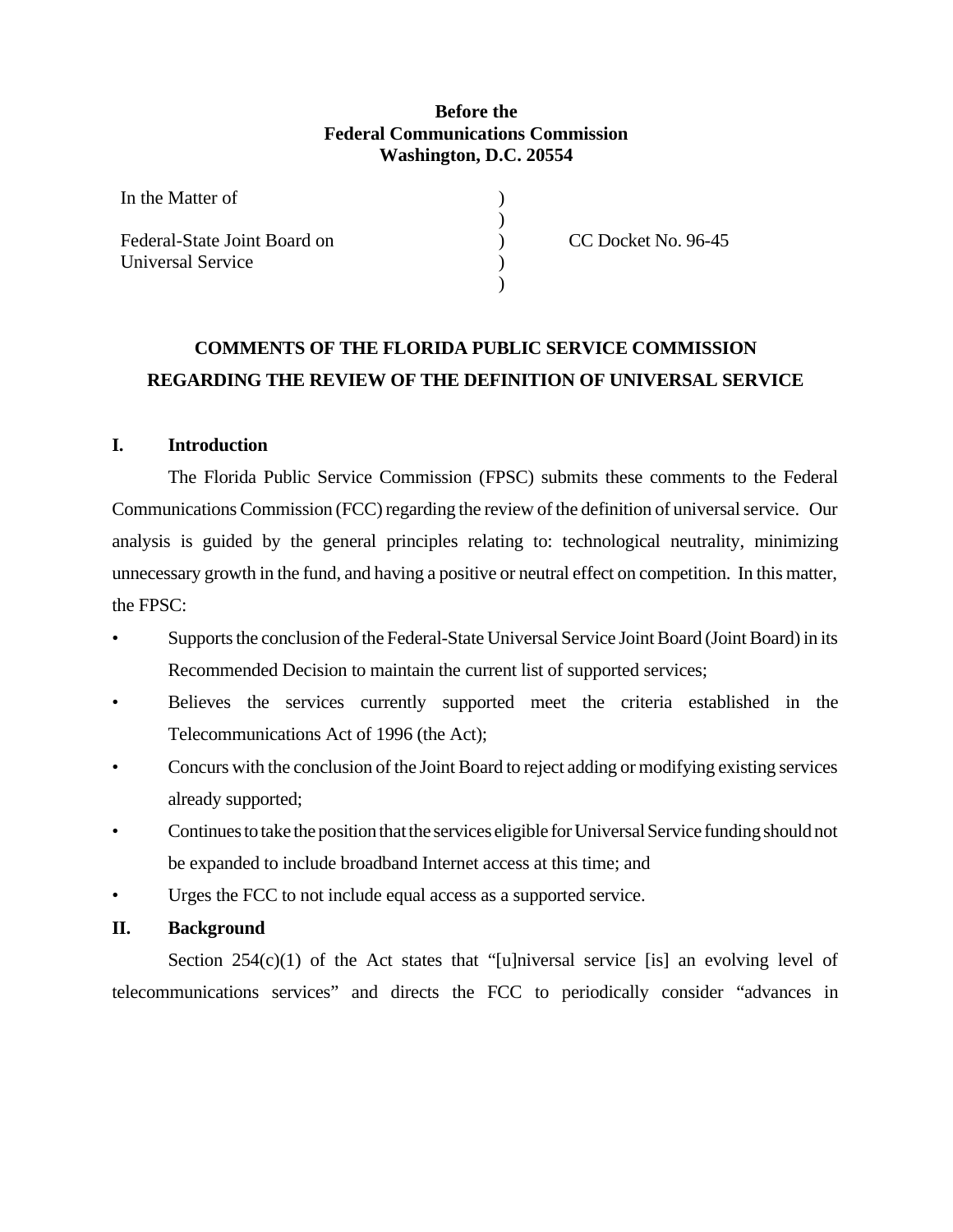#### **Before the Federal Communications Commission Washington, D.C. 20554**

) ) ) ) )

| In the Matter of             |  |
|------------------------------|--|
| Federal-State Joint Board on |  |
| <b>Universal Service</b>     |  |

CC Docket No. 96-45

# **COMMENTS OF THE FLORIDA PUBLIC SERVICE COMMISSION REGARDING THE REVIEW OF THE DEFINITION OF UNIVERSAL SERVICE**

#### **I. Introduction**

The Florida Public Service Commission (FPSC) submits these comments to the Federal Communications Commission (FCC) regarding the review of the definition of universal service. Our analysis is guided by the general principles relating to: technological neutrality, minimizing unnecessary growth in the fund, and having a positive or neutral effect on competition. In this matter, the FPSC:

- Supports the conclusion of the Federal-State Universal Service Joint Board (Joint Board) in its Recommended Decision to maintain the current list of supported services;
- Believes the services currently supported meet the criteria established in the Telecommunications Act of 1996 (the Act);
- Concurs with the conclusion of the Joint Board to reject adding or modifying existing services already supported;
- Continues to take the position that the services eligible for Universal Service funding should not be expanded to include broadband Internet access at this time; and
- Urges the FCC to not include equal access as a supported service.

#### **II. Background**

Section  $254(c)(1)$  of the Act states that "[u]niversal service [is] an evolving level of telecommunications services" and directs the FCC to periodically consider "advances in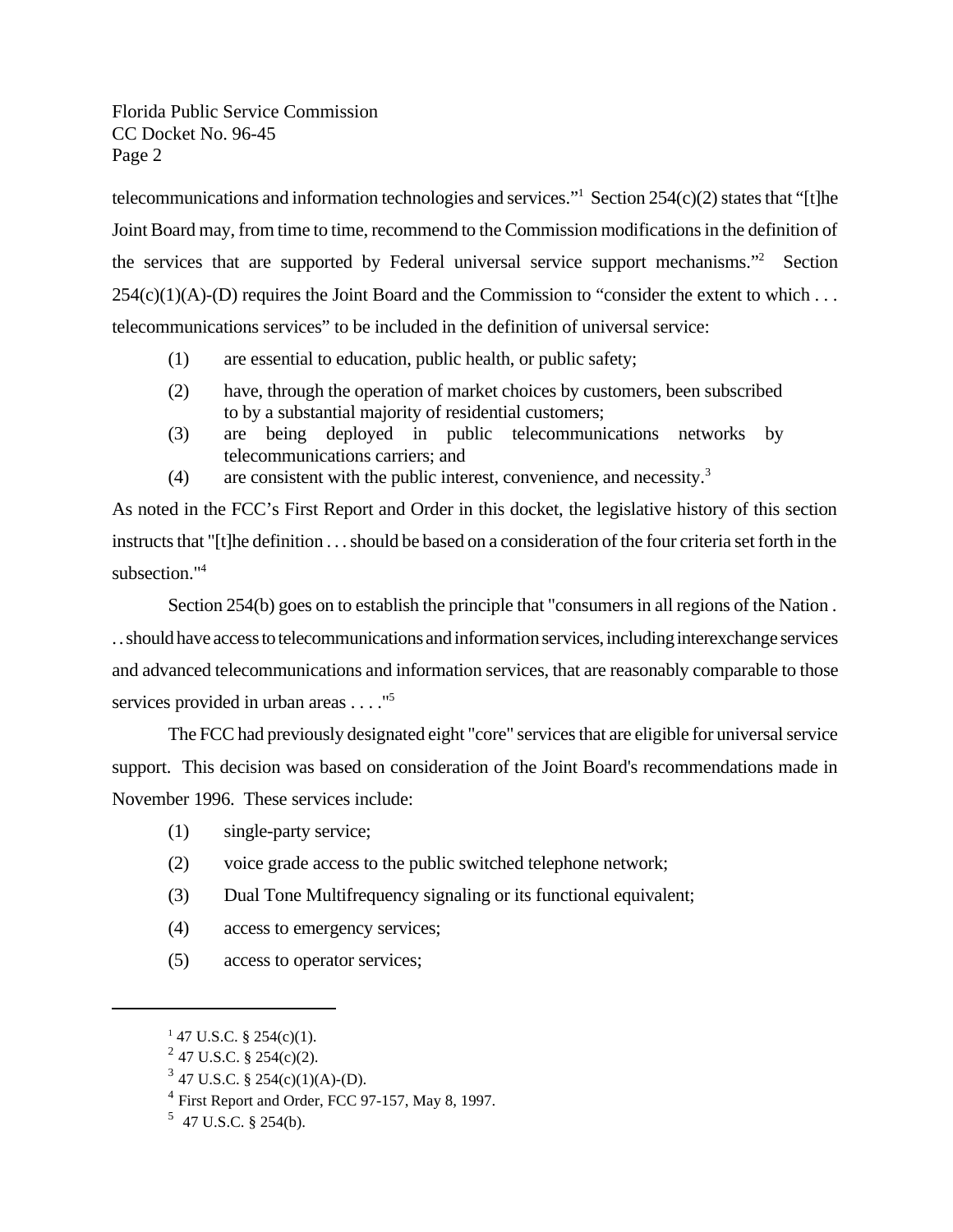telecommunications and information technologies and services."<sup>1</sup> Section 254(c)(2) states that "[t]he Joint Board may, from time to time, recommend to the Commission modifications in the definition of the services that are supported by Federal universal service support mechanisms."<sup>2</sup> Section  $254(c)(1)(A)-D$  requires the Joint Board and the Commission to "consider the extent to which ... telecommunications services" to be included in the definition of universal service:

- (1) are essential to education, public health, or public safety;
- (2) have, through the operation of market choices by customers, been subscribed to by a substantial majority of residential customers;
- (3) are being deployed in public telecommunications networks by telecommunications carriers; and
- (4) are consistent with the public interest, convenience, and necessity.<sup>3</sup>

As noted in the FCC's First Report and Order in this docket, the legislative history of this section instructs that "[t]he definition . . . should be based on a consideration of the four criteria set forth in the subsection."<sup>4</sup>

Section 254(b) goes on to establish the principle that "consumers in all regions of the Nation. . . should have access to telecommunications and information services, including interexchange services and advanced telecommunications and information services, that are reasonably comparable to those services provided in urban areas . . . . "<sup>5</sup>

The FCC had previously designated eight "core" services that are eligible for universal service support. This decision was based on consideration of the Joint Board's recommendations made in November 1996. These services include:

- (1) single-party service;
- (2) voice grade access to the public switched telephone network;
- (3) Dual Tone Multifrequency signaling or its functional equivalent;
- (4) access to emergency services;
- (5) access to operator services;

 $147$  U.S.C. § 254(c)(1).

 $2^{2}$  47 U.S.C. § 254(c)(2).

 $3$  47 U.S.C. § 254(c)(1)(A)-(D).

<sup>&</sup>lt;sup>4</sup> First Report and Order, FCC 97-157, May 8, 1997.

 $5$  47 U.S.C. § 254(b).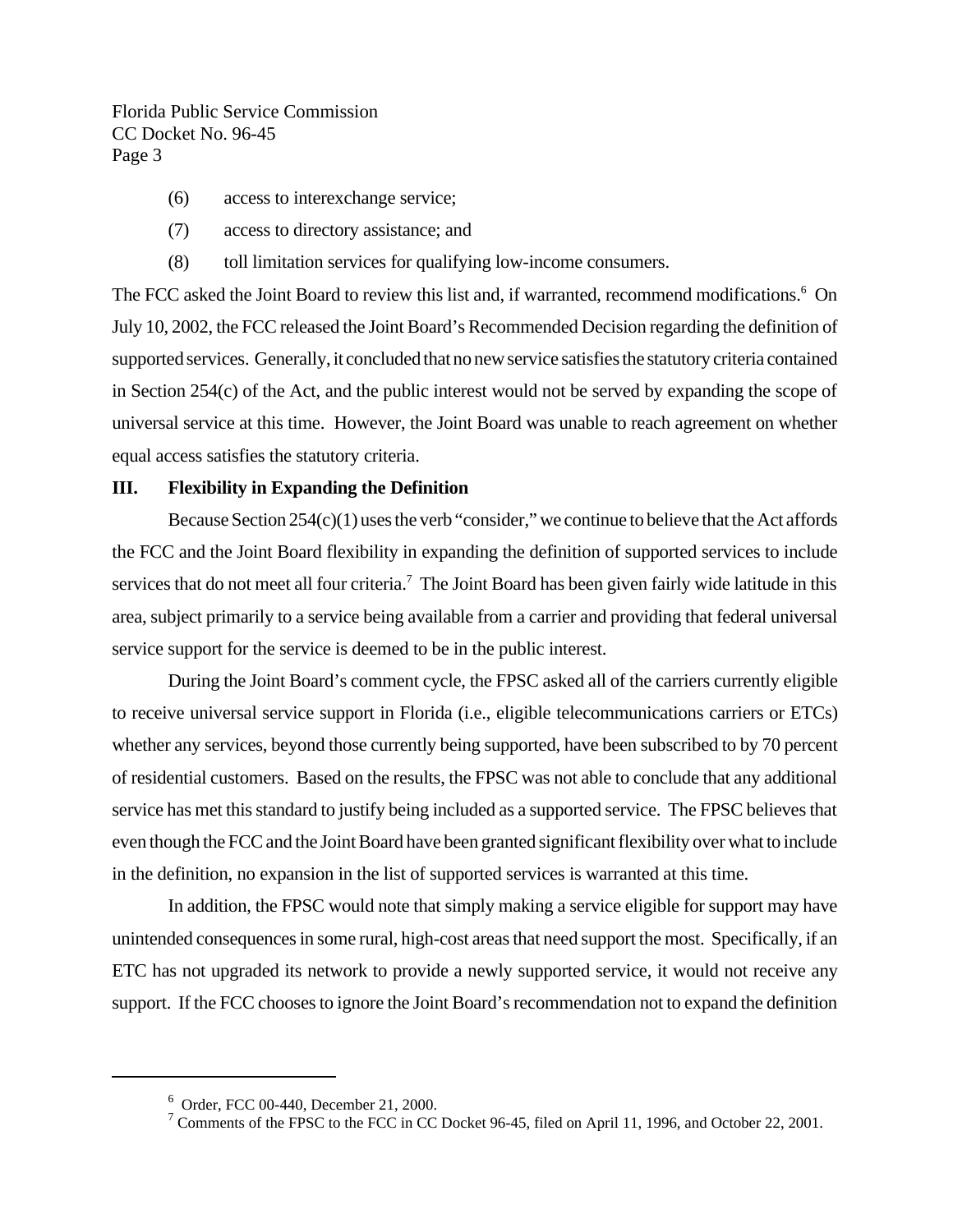- (6) access to interexchange service;
- (7) access to directory assistance; and
- (8) toll limitation services for qualifying low-income consumers.

The FCC asked the Joint Board to review this list and, if warranted, recommend modifications.<sup>6</sup> On July 10, 2002, the FCC released the Joint Board's Recommended Decision regarding the definition of supported services. Generally, it concluded that no new service satisfies the statutory criteria contained in Section 254(c) of the Act, and the public interest would not be served by expanding the scope of universal service at this time. However, the Joint Board was unable to reach agreement on whether equal access satisfies the statutory criteria.

#### **III. Flexibility in Expanding the Definition**

Because Section 254(c)(1) uses the verb "consider," we continue to believe that the Act affords the FCC and the Joint Board flexibility in expanding the definition of supported services to include services that do not meet all four criteria.<sup>7</sup> The Joint Board has been given fairly wide latitude in this area, subject primarily to a service being available from a carrier and providing that federal universal service support for the service is deemed to be in the public interest.

During the Joint Board's comment cycle, the FPSC asked all of the carriers currently eligible to receive universal service support in Florida (i.e., eligible telecommunications carriers or ETCs) whether any services, beyond those currently being supported, have been subscribed to by 70 percent of residential customers. Based on the results, the FPSC was not able to conclude that any additional service has met this standard to justify being included as a supported service. The FPSC believes that even though the FCC and the Joint Board have been granted significant flexibility over what to include in the definition, no expansion in the list of supported services is warranted at this time.

In addition, the FPSC would note that simply making a service eligible for support may have unintended consequences in some rural, high-cost areas that need support the most. Specifically, if an ETC has not upgraded its network to provide a newly supported service, it would not receive any support. If the FCC chooses to ignore the Joint Board's recommendation not to expand the definition

<sup>6</sup> Order, FCC 00-440, December 21, 2000.

<sup>&</sup>lt;sup>7</sup> Comments of the FPSC to the FCC in CC Docket 96-45, filed on April 11, 1996, and October 22, 2001.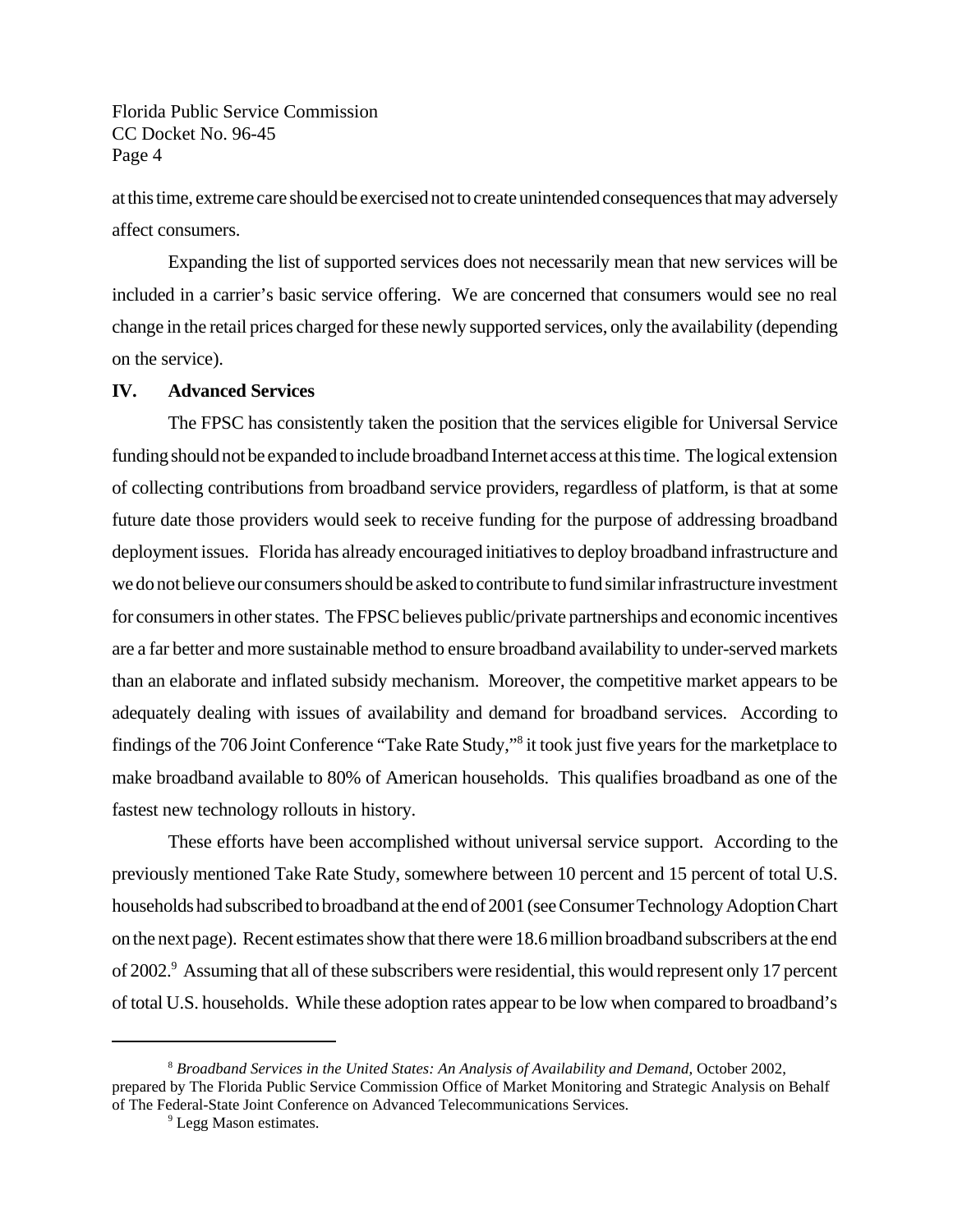at this time, extreme care should be exercised not to create unintended consequences that may adversely affect consumers.

Expanding the list of supported services does not necessarily mean that new services will be included in a carrier's basic service offering. We are concerned that consumers would see no real change in the retail prices charged for these newly supported services, only the availability (depending on the service).

#### **IV. Advanced Services**

The FPSC has consistently taken the position that the services eligible for Universal Service funding should not be expanded to include broadband Internet access at this time. The logical extension of collecting contributions from broadband service providers, regardless of platform, is that at some future date those providers would seek to receive funding for the purpose of addressing broadband deployment issues. Florida has already encouraged initiatives to deploy broadband infrastructure and we do not believe our consumers should be asked to contribute to fund similar infrastructure investment for consumers in other states. The FPSC believes public/private partnerships and economic incentives are a far better and more sustainable method to ensure broadband availability to under-served markets than an elaborate and inflated subsidy mechanism. Moreover, the competitive market appears to be adequately dealing with issues of availability and demand for broadband services. According to findings of the 706 Joint Conference "Take Rate Study,"<sup>8</sup> it took just five years for the marketplace to make broadband available to 80% of American households. This qualifies broadband as one of the fastest new technology rollouts in history.

These efforts have been accomplished without universal service support. According to the previously mentioned Take Rate Study, somewhere between 10 percent and 15 percent of total U.S. households had subscribed to broadband at the end of 2001 (see Consumer Technology Adoption Chart on the next page). Recent estimates show that there were 18.6 million broadband subscribers at the end of 2002.<sup>9</sup> Assuming that all of these subscribers were residential, this would represent only 17 percent of total U.S. households. While these adoption rates appear to be low when compared to broadband's

<sup>8</sup> *Broadband Services in the United States: An Analysis of Availability and Demand,* October 2002, prepared by The Florida Public Service Commission Office of Market Monitoring and Strategic Analysis on Behalf of The Federal-State Joint Conference on Advanced Telecommunications Services.

<sup>&</sup>lt;sup>9</sup> Legg Mason estimates.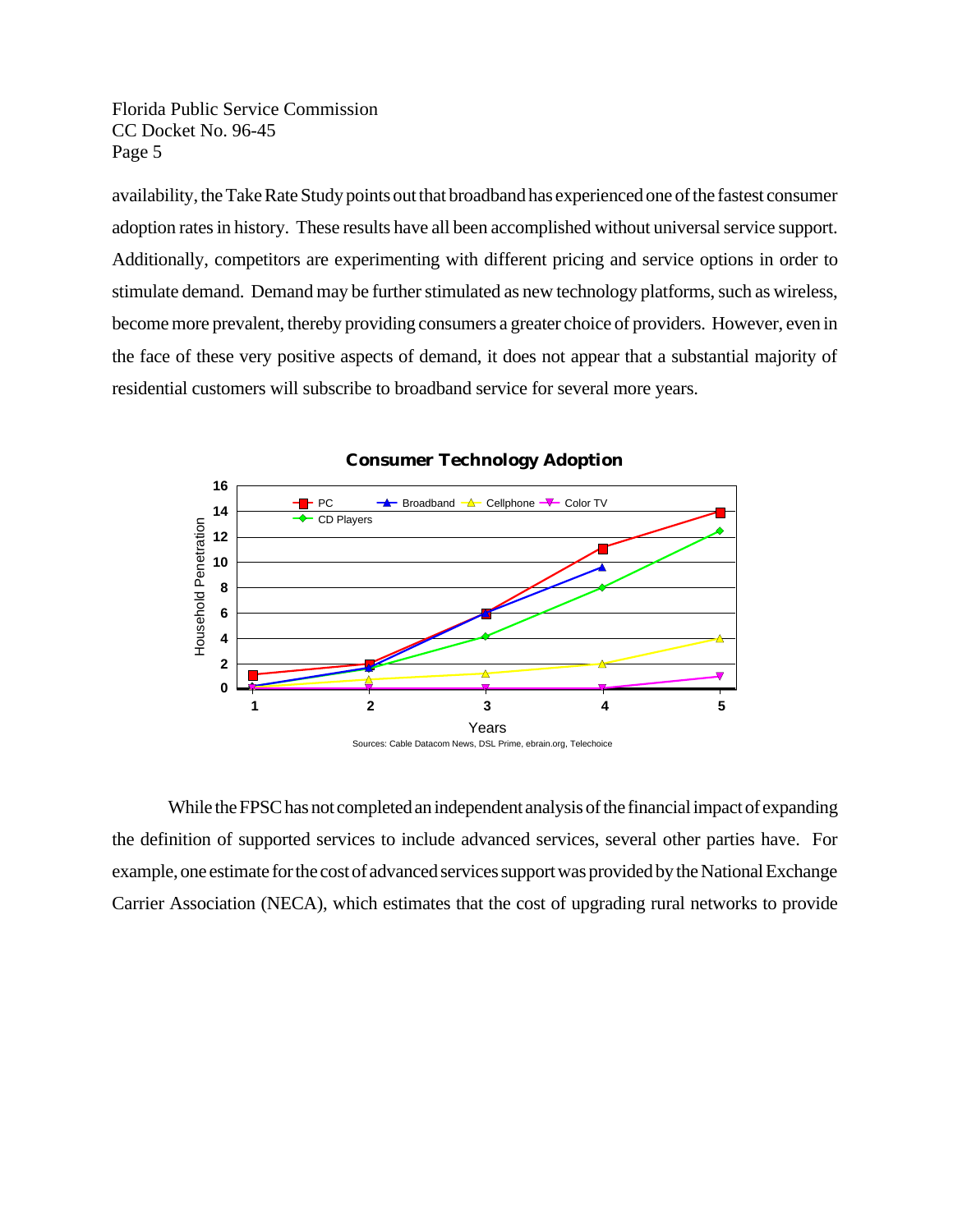availability, the Take Rate Study points out that broadband has experienced one of the fastest consumer adoption rates in history. These results have all been accomplished without universal service support. Additionally, competitors are experimenting with different pricing and service options in order to stimulate demand. Demand may be further stimulated as new technology platforms, such as wireless, become more prevalent, thereby providing consumers a greater choice of providers. However, even in the face of these very positive aspects of demand, it does not appear that a substantial majority of residential customers will subscribe to broadband service for several more years.



**Consumer Technology Adoption**

While the FPSC has not completed an independent analysis of the financial impact of expanding the definition of supported services to include advanced services, several other parties have. For example, one estimate for the cost of advanced services support was provided by the National Exchange Carrier Association (NECA), which estimates that the cost of upgrading rural networks to provide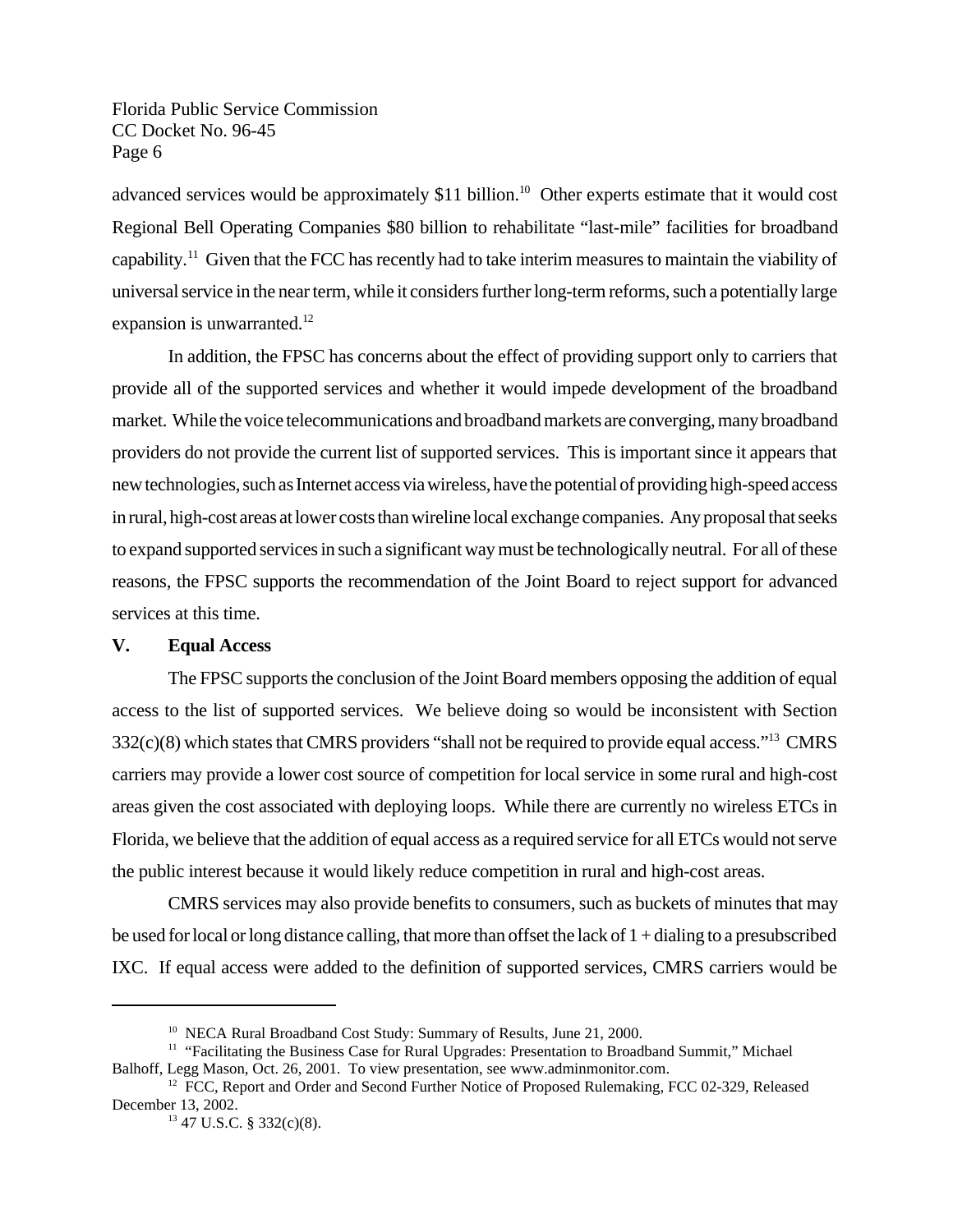advanced services would be approximately  $$11$  billion.<sup>10</sup> Other experts estimate that it would cost Regional Bell Operating Companies \$80 billion to rehabilitate "last-mile" facilities for broadband capability.<sup>11</sup> Given that the FCC has recently had to take interim measures to maintain the viability of universal service in the near term, while it considers further long-term reforms, such a potentially large expansion is unwarranted.<sup>12</sup>

In addition, the FPSC has concerns about the effect of providing support only to carriers that provide all of the supported services and whether it would impede development of the broadband market. While the voice telecommunications and broadband markets are converging, many broadband providers do not provide the current list of supported services. This is important since it appears that new technologies, such as Internet access via wireless, have the potential of providing high-speed access in rural, high-cost areas at lower costs than wireline local exchange companies. Any proposal that seeks to expand supported services in such a significant way must be technologically neutral. For all of these reasons, the FPSC supports the recommendation of the Joint Board to reject support for advanced services at this time.

#### **V. Equal Access**

The FPSC supports the conclusion of the Joint Board members opposing the addition of equal access to the list of supported services. We believe doing so would be inconsistent with Section  $332(c)(8)$  which states that CMRS providers "shall not be required to provide equal access."<sup>13</sup> CMRS carriers may provide a lower cost source of competition for local service in some rural and high-cost areas given the cost associated with deploying loops. While there are currently no wireless ETCs in Florida, we believe that the addition of equal access as a required service for all ETCs would not serve the public interest because it would likely reduce competition in rural and high-cost areas.

CMRS services may also provide benefits to consumers, such as buckets of minutes that may be used for local or long distance calling, that more than offset the lack of 1 + dialing to a presubscribed IXC. If equal access were added to the definition of supported services, CMRS carriers would be

<sup>&</sup>lt;sup>10</sup> NECA Rural Broadband Cost Study: Summary of Results, June 21, 2000.

<sup>&</sup>lt;sup>11</sup> "Facilitating the Business Case for Rural Upgrades: Presentation to Broadband Summit," Michael Balhoff, Legg Mason, Oct. 26, 2001. To view presentation, see www.adminmonitor.com.

<sup>&</sup>lt;sup>12</sup> FCC, Report and Order and Second Further Notice of Proposed Rulemaking, FCC 02-329, Released December 13, 2002.

<sup>13</sup> 47 U.S.C. § 332(c)(8).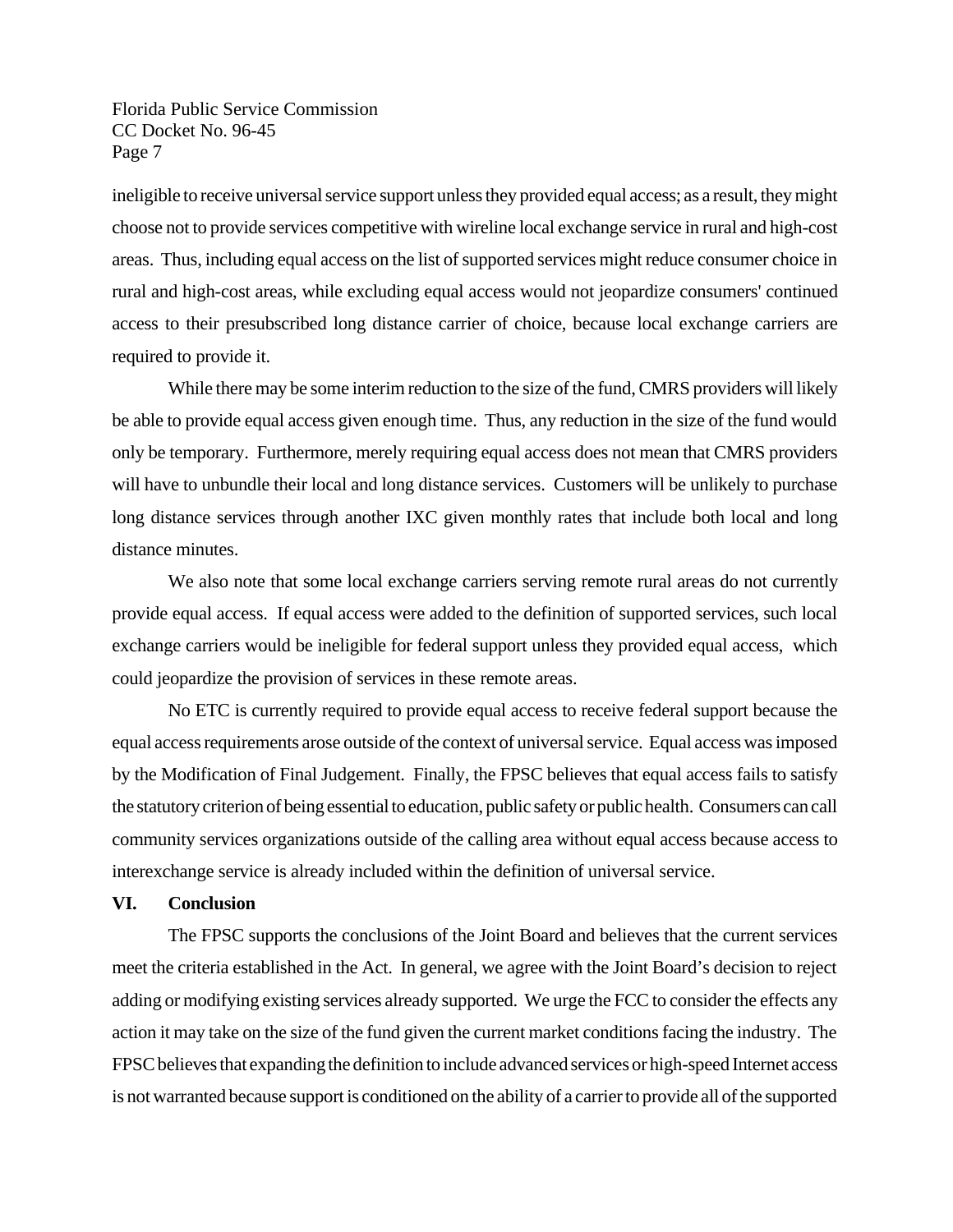ineligible to receive universal service support unless they provided equal access; as a result, they might choose not to provide services competitive with wireline local exchange service in rural and high-cost areas. Thus, including equal access on the list of supported services might reduce consumer choice in rural and high-cost areas, while excluding equal access would not jeopardize consumers' continued access to their presubscribed long distance carrier of choice, because local exchange carriers are required to provide it.

While there may be some interim reduction to the size of the fund, CMRS providers will likely be able to provide equal access given enough time. Thus, any reduction in the size of the fund would only be temporary. Furthermore, merely requiring equal access does not mean that CMRS providers will have to unbundle their local and long distance services. Customers will be unlikely to purchase long distance services through another IXC given monthly rates that include both local and long distance minutes.

We also note that some local exchange carriers serving remote rural areas do not currently provide equal access. If equal access were added to the definition of supported services, such local exchange carriers would be ineligible for federal support unless they provided equal access, which could jeopardize the provision of services in these remote areas.

No ETC is currently required to provide equal access to receive federal support because the equal access requirements arose outside of the context of universal service. Equal access was imposed by the Modification of Final Judgement. Finally, the FPSC believes that equal access fails to satisfy the statutory criterion of being essential to education, public safety or public health. Consumers can call community services organizations outside of the calling area without equal access because access to interexchange service is already included within the definition of universal service.

#### **VI. Conclusion**

The FPSC supports the conclusions of the Joint Board and believes that the current services meet the criteria established in the Act. In general, we agree with the Joint Board's decision to reject adding or modifying existing services already supported. We urge the FCC to consider the effects any action it may take on the size of the fund given the current market conditions facing the industry. The FPSC believes that expanding the definition to include advanced services or high-speed Internet access is not warranted because support is conditioned on the ability of a carrier to provide all of the supported